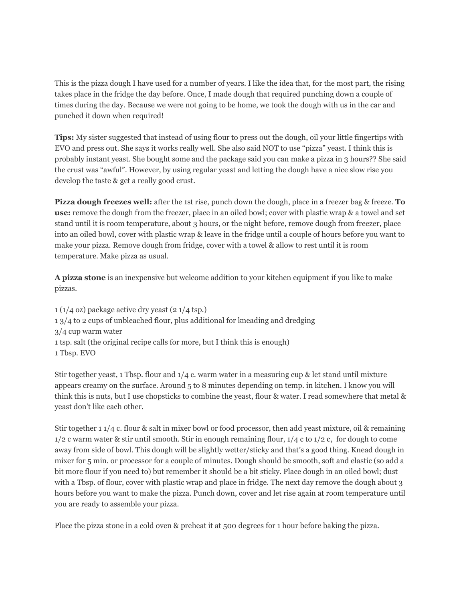This is the pizza dough I have used for a number of years. I like the idea that, for the most part, the rising takes place in the fridge the day before. Once, I made dough that required punching down a couple of times during the day. Because we were not going to be home, we took the dough with us in the car and punched it down when required!

**Tips:** My sister suggested that instead of using flour to press out the dough, oil your little fingertips with EVO and press out. She says it works really well. She also said NOT to use "pizza" yeast. I think this is probably instant yeast. She bought some and the package said you can make a pizza in 3 hours?? She said the crust was "awful". However, by using regular yeast and letting the dough have a nice slow rise you develop the taste & get a really good crust.

**Pizza dough freezes well:** after the 1st rise, punch down the dough, place in a freezer bag & freeze. **To use:** remove the dough from the freezer, place in an oiled bowl; cover with plastic wrap & a towel and set stand until it is room temperature, about 3 hours, or the night before, remove dough from freezer, place into an oiled bowl, cover with plastic wrap & leave in the fridge until a couple of hours before you want to make your pizza. Remove dough from fridge, cover with a towel & allow to rest until it is room temperature. Make pizza as usual.

**A pizza stone** is an inexpensive but welcome addition to your kitchen equipment if you like to make pizzas.

 $1 (1/4 0)$  package active dry yeast  $(2 1/4$  tsp.) 1 3/4 to 2 cups of unbleached flour, plus additional for kneading and dredging 3/4 cup warm water 1 tsp. salt (the original recipe calls for more, but I think this is enough) 1 Tbsp. EVO

Stir together yeast, 1 Tbsp. flour and 1/4 c. warm water in a measuring cup & let stand until mixture appears creamy on the surface. Around 5 to 8 minutes depending on temp. in kitchen. I know you will think this is nuts, but I use chopsticks to combine the yeast, flour & water. I read somewhere that metal & yeast don't like each other.

Stir together 1 1/4 c. flour & salt in mixer bowl or food processor, then add yeast mixture, oil & remaining 1/2 c warm water & stir until smooth. Stir in enough remaining flour, 1/4 c to 1/2 c, for dough to come away from side of bowl. This dough will be slightly wetter/sticky and that's a good thing. Knead dough in mixer for 5 min. or processor for a couple of minutes. Dough should be smooth, soft and elastic (so add a bit more flour if you need to) but remember it should be a bit sticky. Place dough in an oiled bowl; dust with a Tbsp. of flour, cover with plastic wrap and place in fridge. The next day remove the dough about 3 hours before you want to make the pizza. Punch down, cover and let rise again at room temperature until you are ready to assemble your pizza.

Place the pizza stone in a cold oven & preheat it at 500 degrees for 1 hour before baking the pizza.